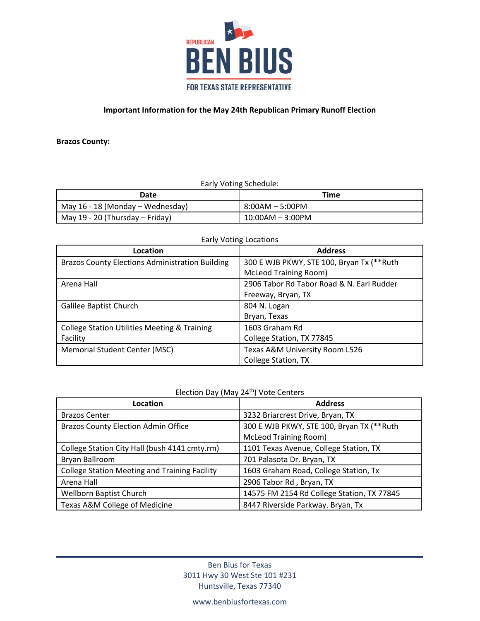

**Brazos County:** 

Early Voting Schedule:

| Date                             | Time               |
|----------------------------------|--------------------|
| May 16 - 18 (Monday – Wednesday) | 8:00AM – 5:00PM    |
| May 19 - 20 (Thursday – Friday)  | $10:00AM - 3:00PM$ |

| Location                                                | <b>Address</b>                            |
|---------------------------------------------------------|-------------------------------------------|
| <b>Brazos County Elections Administration Building</b>  | 300 E WJB PKWY, STE 100, Bryan Tx (**Ruth |
|                                                         | <b>McLeod Training Room)</b>              |
| Arena Hall                                              | 2906 Tabor Rd Tabor Road & N. Earl Rudder |
|                                                         | Freeway, Bryan, TX                        |
| Galilee Baptist Church                                  | 804 N. Logan                              |
|                                                         | Bryan, Texas                              |
| <b>College Station Utilities Meeting &amp; Training</b> | 1603 Graham Rd                            |
| Facility                                                | College Station, TX 77845                 |
| Memorial Student Center (MSC)                           | Texas A&M University Room L526            |
|                                                         | <b>College Station, TX</b>                |

### Early Voting Locations

# Election Day (May 24<sup>th</sup>) Vote Centers

| Location                                             | <b>Address</b>                             |
|------------------------------------------------------|--------------------------------------------|
| <b>Brazos Center</b>                                 | 3232 Briarcrest Drive, Bryan, TX           |
| <b>Brazos County Election Admin Office</b>           | 300 E WJB PKWY, STE 100, Bryan TX (**Ruth  |
|                                                      | <b>McLeod Training Room)</b>               |
| College Station City Hall (bush 4141 cmty.rm)        | 1101 Texas Avenue, College Station, TX     |
| Bryan Ballroom                                       | 701 Palasota Dr. Bryan, TX                 |
| <b>College Station Meeting and Training Facility</b> | 1603 Graham Road, College Station, Tx      |
| Arena Hall                                           | 2906 Tabor Rd, Bryan, TX                   |
| Wellborn Baptist Church                              | 14575 FM 2154 Rd College Station, TX 77845 |
| Texas A&M College of Medicine                        | 8447 Riverside Parkway. Bryan, Tx          |

Ben Bius for Texas 3011 Hwy 30 West Ste 101 #231 Huntsville, Texas 77340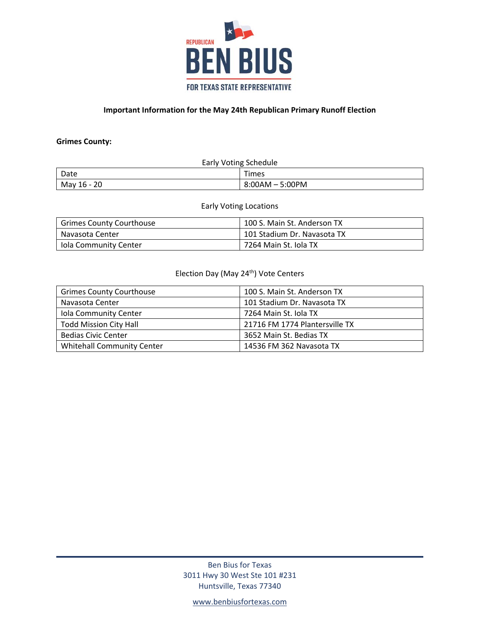

### **Grimes County:**

| <b>Early Voting Schedule</b> |                 |
|------------------------------|-----------------|
| Date                         | <b>Times</b>    |
| May 16 - 20                  | 8:00AM - 5:00PM |

#### Early Voting Locations

| <b>Grimes County Courthouse</b> | 100 S. Main St. Anderson TX |
|---------------------------------|-----------------------------|
| Navasota Center                 | 101 Stadium Dr. Navasota TX |
| Iola Community Center           | 7264 Main St. Iola TX       |

# Election Day (May 24<sup>th</sup>) Vote Centers

| <b>Grimes County Courthouse</b>   | 100 S. Main St. Anderson TX    |
|-----------------------------------|--------------------------------|
| Navasota Center                   | 101 Stadium Dr. Navasota TX    |
| Iola Community Center             | 7264 Main St. Iola TX          |
| <b>Todd Mission City Hall</b>     | 21716 FM 1774 Plantersville TX |
| <b>Bedias Civic Center</b>        | 3652 Main St. Bedias TX        |
| <b>Whitehall Community Center</b> | 14536 FM 362 Navasota TX       |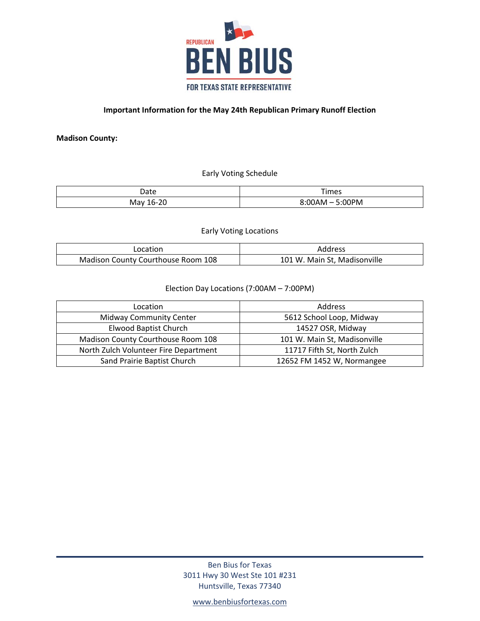

**Madison County:** 

Early Voting Schedule

| Date                         | Times<br>___ |
|------------------------------|--------------|
| $\sim$<br>May<br>. n-<br>2 U | 00PM<br>w    |

Early Voting Locations

| _ocation                           | Address                      |
|------------------------------------|------------------------------|
| Madison County Courthouse Room 108 | 101 W. Main St, Madisonville |

## Election Day Locations (7:00AM – 7:00PM)

| Location                              | Address                      |
|---------------------------------------|------------------------------|
| <b>Midway Community Center</b>        | 5612 School Loop, Midway     |
| <b>Elwood Baptist Church</b>          | 14527 OSR, Midway            |
| Madison County Courthouse Room 108    | 101 W. Main St, Madisonville |
| North Zulch Volunteer Fire Department | 11717 Fifth St, North Zulch  |
| Sand Prairie Baptist Church           | 12652 FM 1452 W, Normangee   |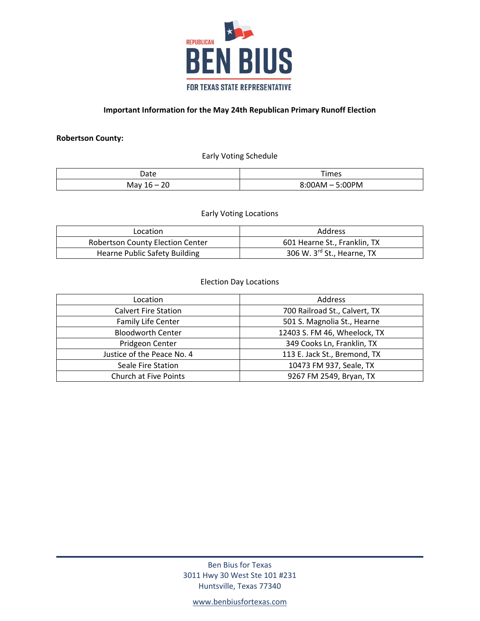

### **Robertson County:**

Early Voting Schedule

| Date                                   | Times     |
|----------------------------------------|-----------|
| $\sim$<br>May<br><u> - </u><br>ΔU<br>∸ | 00PM<br>– |

Early Voting Locations

| Location                                | Address                      |
|-----------------------------------------|------------------------------|
| <b>Robertson County Election Center</b> | 601 Hearne St., Franklin, TX |
| <b>Hearne Public Safety Building</b>    | 306 W. 3rd St., Hearne, TX   |

### Election Day Locations

| Location                    | Address                       |
|-----------------------------|-------------------------------|
| <b>Calvert Fire Station</b> | 700 Railroad St., Calvert, TX |
| Family Life Center          | 501 S. Magnolia St., Hearne   |
| <b>Bloodworth Center</b>    | 12403 S. FM 46, Wheelock, TX  |
| Pridgeon Center             | 349 Cooks Ln, Franklin, TX    |
| Justice of the Peace No. 4  | 113 E. Jack St., Bremond, TX  |
| Seale Fire Station          | 10473 FM 937, Seale, TX       |
| Church at Five Points       | 9267 FM 2549, Bryan, TX       |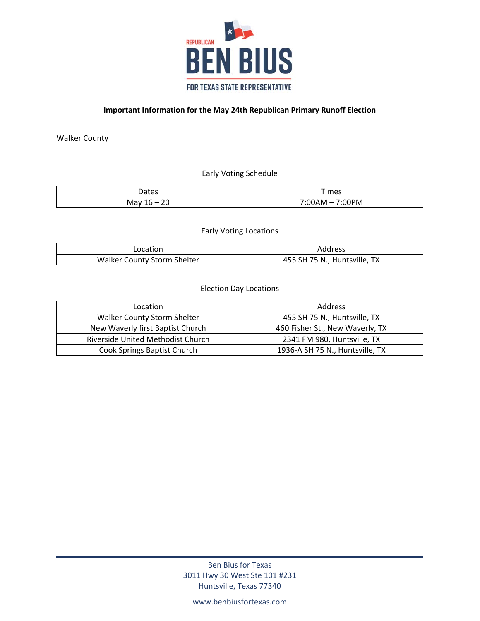

Walker County

Early Voting Schedule

| عص† 1<br>レいいこ                                                       | --<br>ïmes<br>__    |
|---------------------------------------------------------------------|---------------------|
| $\sim$ $\sim$<br>.м2°<br>$\overline{\phantom{a}}$<br>ivid<br>$\sim$ | <br><b>JPM</b><br>w |

Early Voting Locations

| Location                    | Address                            |
|-----------------------------|------------------------------------|
| Walker County Storm Shelter | ТX<br>455 SH 75 N.,<br>Huntsville, |

### Election Day Locations

| Location                           | <b>Address</b>                  |
|------------------------------------|---------------------------------|
| <b>Walker County Storm Shelter</b> | 455 SH 75 N., Huntsville, TX    |
| New Waverly first Baptist Church   | 460 Fisher St., New Waverly, TX |
| Riverside United Methodist Church  | 2341 FM 980, Huntsville, TX     |
| Cook Springs Baptist Church        | 1936-A SH 75 N., Huntsville, TX |